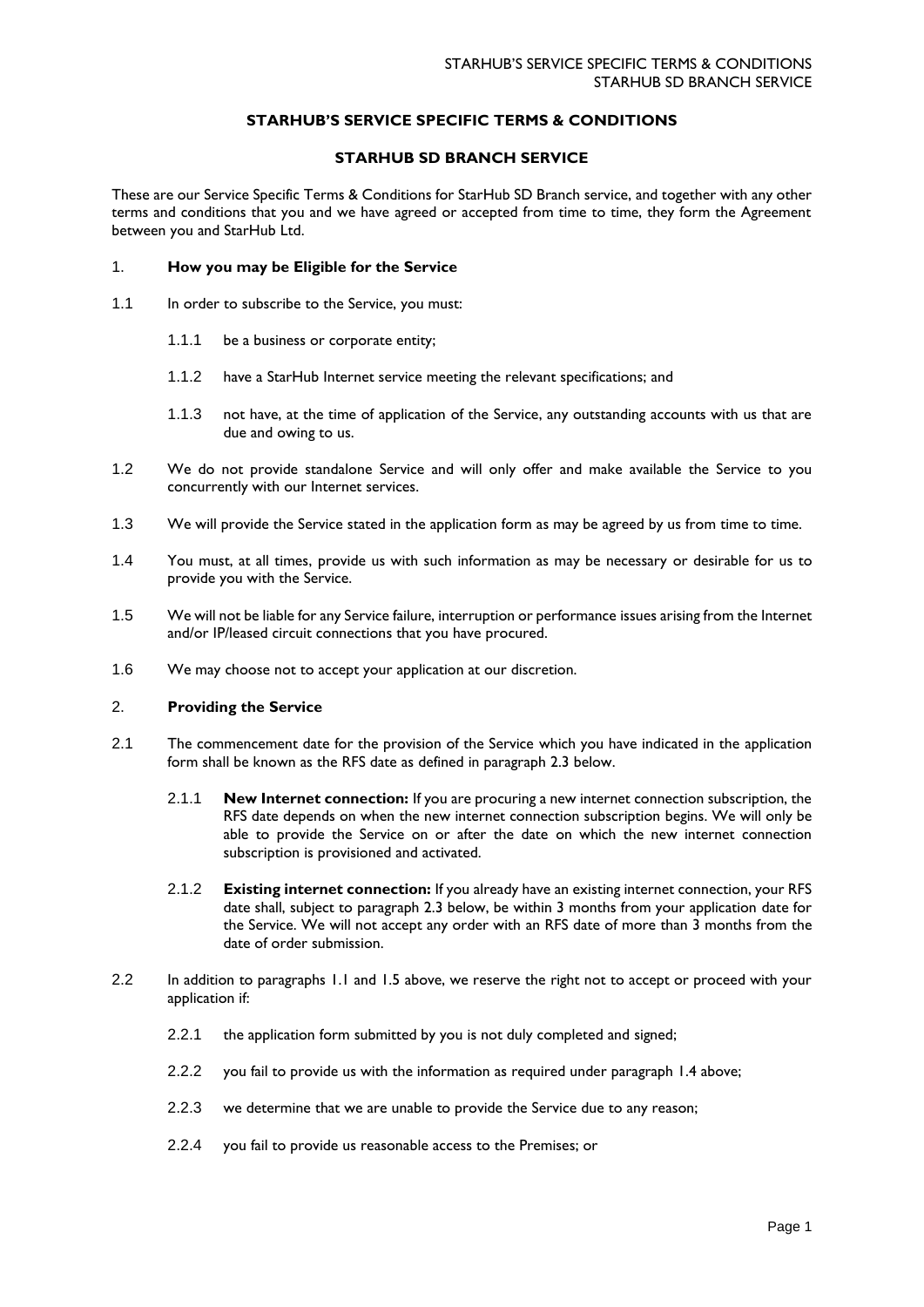# **STARHUB'S SERVICE SPECIFIC TERMS & CONDITIONS**

# **STARHUB SD BRANCH SERVICE**

These are our Service Specific Terms & Conditions for StarHub SD Branch service, and together with any other terms and conditions that you and we have agreed or accepted from time to time, they form the Agreement between you and StarHub Ltd.

### 1. **How you may be Eligible for the Service**

- 1.1 In order to subscribe to the Service, you must:
	- 1.1.1 be a business or corporate entity;
	- 1.1.2 have a StarHub Internet service meeting the relevant specifications; and
	- 1.1.3 not have, at the time of application of the Service, any outstanding accounts with us that are due and owing to us.
- 1.2 We do not provide standalone Service and will only offer and make available the Service to you concurrently with our Internet services.
- 1.3 We will provide the Service stated in the application form as may be agreed by us from time to time.
- 1.4 You must, at all times, provide us with such information as may be necessary or desirable for us to provide you with the Service.
- 1.5 We will not be liable for any Service failure, interruption or performance issues arising from the Internet and/or IP/leased circuit connections that you have procured.
- 1.6 We may choose not to accept your application at our discretion.

# 2. **Providing the Service**

- 2.1 The commencement date for the provision of the Service which you have indicated in the application form shall be known as the RFS date as defined in paragraph 2.3 below.
	- 2.1.1 **New Internet connection:** If you are procuring a new internet connection subscription, the RFS date depends on when the new internet connection subscription begins. We will only be able to provide the Service on or after the date on which the new internet connection subscription is provisioned and activated.
	- 2.1.2 **Existing internet connection:** If you already have an existing internet connection, your RFS date shall, subject to paragraph 2.3 below, be within 3 months from your application date for the Service. We will not accept any order with an RFS date of more than 3 months from the date of order submission.
- 2.2 In addition to paragraphs 1.1 and 1.5 above, we reserve the right not to accept or proceed with your application if:
	- 2.2.1 the application form submitted by you is not duly completed and signed;
	- 2.2.2 you fail to provide us with the information as required under paragraph 1.4 above;
	- 2.2.3 we determine that we are unable to provide the Service due to any reason;
	- 2.2.4 you fail to provide us reasonable access to the Premises; or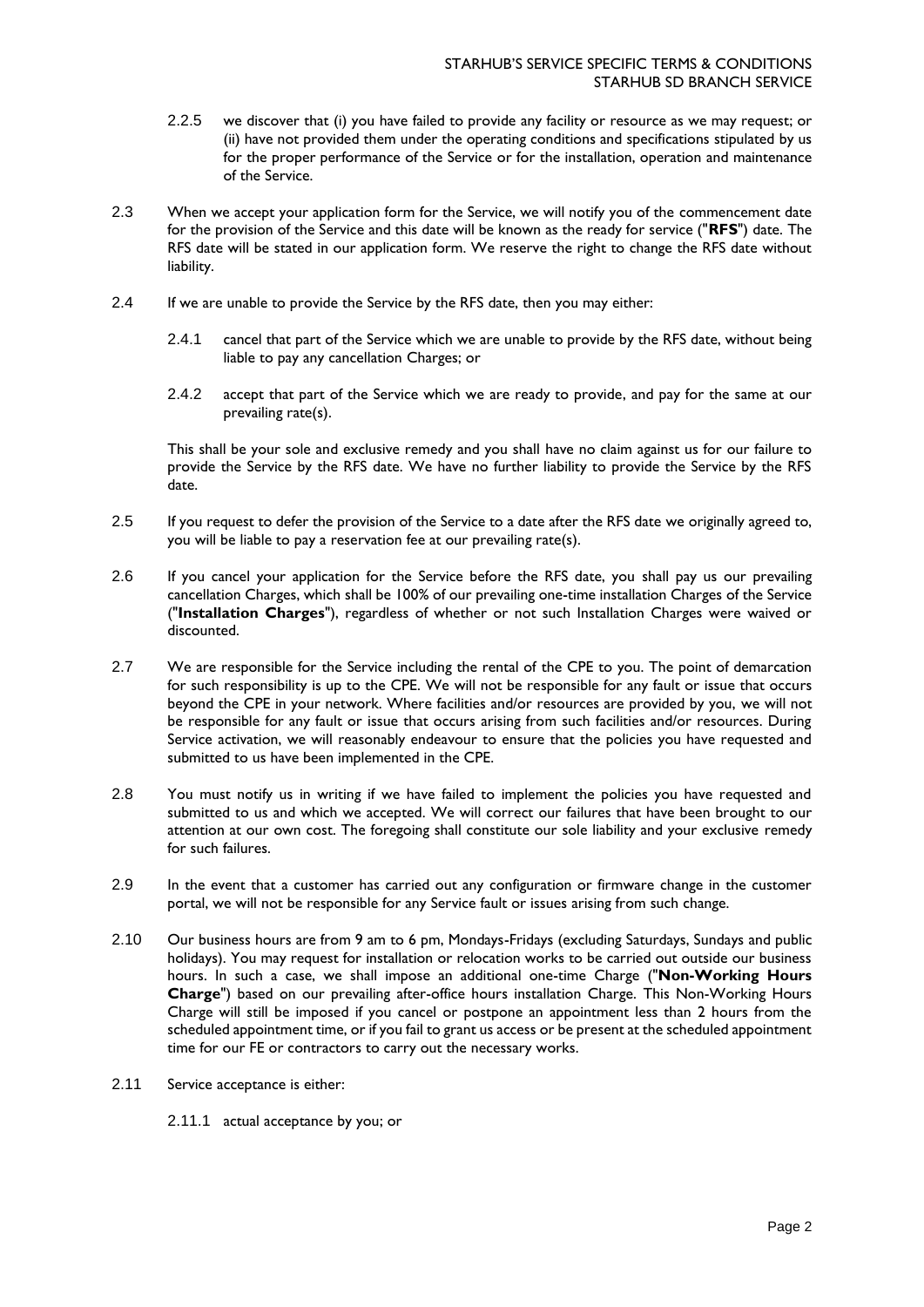- 2.2.5 we discover that (i) you have failed to provide any facility or resource as we may request; or (ii) have not provided them under the operating conditions and specifications stipulated by us for the proper performance of the Service or for the installation, operation and maintenance of the Service.
- 2.3 When we accept your application form for the Service, we will notify you of the commencement date for the provision of the Service and this date will be known as the ready for service ("**RFS**") date. The RFS date will be stated in our application form. We reserve the right to change the RFS date without liability.
- 2.4 If we are unable to provide the Service by the RFS date, then you may either:
	- 2.4.1 cancel that part of the Service which we are unable to provide by the RFS date, without being liable to pay any cancellation Charges; or
	- 2.4.2 accept that part of the Service which we are ready to provide, and pay for the same at our prevailing rate(s).

This shall be your sole and exclusive remedy and you shall have no claim against us for our failure to provide the Service by the RFS date. We have no further liability to provide the Service by the RFS date.

- 2.5 If you request to defer the provision of the Service to a date after the RFS date we originally agreed to, you will be liable to pay a reservation fee at our prevailing rate(s).
- 2.6 If you cancel your application for the Service before the RFS date, you shall pay us our prevailing cancellation Charges, which shall be 100% of our prevailing one-time installation Charges of the Service ("**Installation Charges**"), regardless of whether or not such Installation Charges were waived or discounted.
- 2.7 We are responsible for the Service including the rental of the CPE to you. The point of demarcation for such responsibility is up to the CPE. We will not be responsible for any fault or issue that occurs beyond the CPE in your network. Where facilities and/or resources are provided by you, we will not be responsible for any fault or issue that occurs arising from such facilities and/or resources. During Service activation, we will reasonably endeavour to ensure that the policies you have requested and submitted to us have been implemented in the CPE.
- 2.8 You must notify us in writing if we have failed to implement the policies you have requested and submitted to us and which we accepted. We will correct our failures that have been brought to our attention at our own cost. The foregoing shall constitute our sole liability and your exclusive remedy for such failures.
- 2.9 In the event that a customer has carried out any configuration or firmware change in the customer portal, we will not be responsible for any Service fault or issues arising from such change.
- 2.10 Our business hours are from 9 am to 6 pm, Mondays-Fridays (excluding Saturdays, Sundays and public holidays). You may request for installation or relocation works to be carried out outside our business hours. In such a case, we shall impose an additional one-time Charge ("**Non-Working Hours Charge**") based on our prevailing after-office hours installation Charge. This Non-Working Hours Charge will still be imposed if you cancel or postpone an appointment less than 2 hours from the scheduled appointment time, or if you fail to grant us access or be present at the scheduled appointment time for our FE or contractors to carry out the necessary works.
- 2.11 Service acceptance is either:
	- 2.11.1 actual acceptance by you; or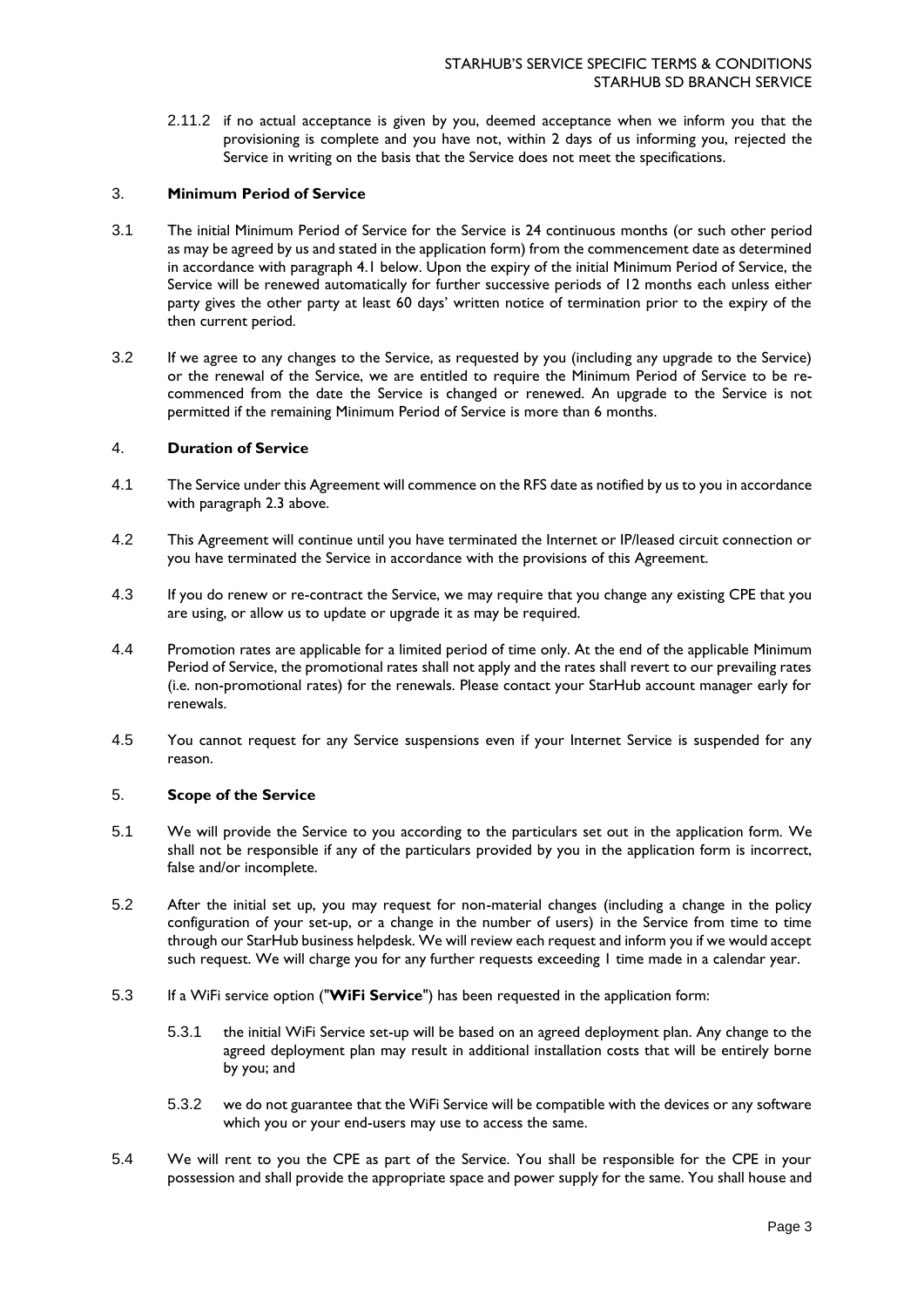2.11.2 if no actual acceptance is given by you, deemed acceptance when we inform you that the provisioning is complete and you have not, within 2 days of us informing you, rejected the Service in writing on the basis that the Service does not meet the specifications.

# 3. **Minimum Period of Service**

- 3.1 The initial Minimum Period of Service for the Service is 24 continuous months (or such other period as may be agreed by us and stated in the application form) from the commencement date as determined in accordance with paragraph 4.1 below. Upon the expiry of the initial Minimum Period of Service, the Service will be renewed automatically for further successive periods of 12 months each unless either party gives the other party at least 60 days' written notice of termination prior to the expiry of the then current period.
- 3.2 If we agree to any changes to the Service, as requested by you (including any upgrade to the Service) or the renewal of the Service, we are entitled to require the Minimum Period of Service to be recommenced from the date the Service is changed or renewed. An upgrade to the Service is not permitted if the remaining Minimum Period of Service is more than 6 months.

### 4. **Duration of Service**

- 4.1 The Service under this Agreement will commence on the RFS date as notified by us to you in accordance with paragraph 2.3 above.
- 4.2 This Agreement will continue until you have terminated the Internet or IP/leased circuit connection or you have terminated the Service in accordance with the provisions of this Agreement.
- 4.3 If you do renew or re-contract the Service, we may require that you change any existing CPE that you are using, or allow us to update or upgrade it as may be required.
- 4.4 Promotion rates are applicable for a limited period of time only. At the end of the applicable Minimum Period of Service, the promotional rates shall not apply and the rates shall revert to our prevailing rates (i.e. non-promotional rates) for the renewals. Please contact your StarHub account manager early for renewals.
- 4.5 You cannot request for any Service suspensions even if your Internet Service is suspended for any reason.

#### 5. **Scope of the Service**

- 5.1 We will provide the Service to you according to the particulars set out in the application form. We shall not be responsible if any of the particulars provided by you in the application form is incorrect, false and/or incomplete.
- 5.2 After the initial set up, you may request for non-material changes (including a change in the policy configuration of your set-up, or a change in the number of users) in the Service from time to time through our StarHub business helpdesk. We will review each request and inform you if we would accept such request. We will charge you for any further requests exceeding 1 time made in a calendar year.
- 5.3 If a WiFi service option ("**WiFi Service**") has been requested in the application form:
	- 5.3.1 the initial WiFi Service set-up will be based on an agreed deployment plan. Any change to the agreed deployment plan may result in additional installation costs that will be entirely borne by you; and
	- 5.3.2 we do not guarantee that the WiFi Service will be compatible with the devices or any software which you or your end-users may use to access the same.
- 5.4 We will rent to you the CPE as part of the Service. You shall be responsible for the CPE in your possession and shall provide the appropriate space and power supply for the same. You shall house and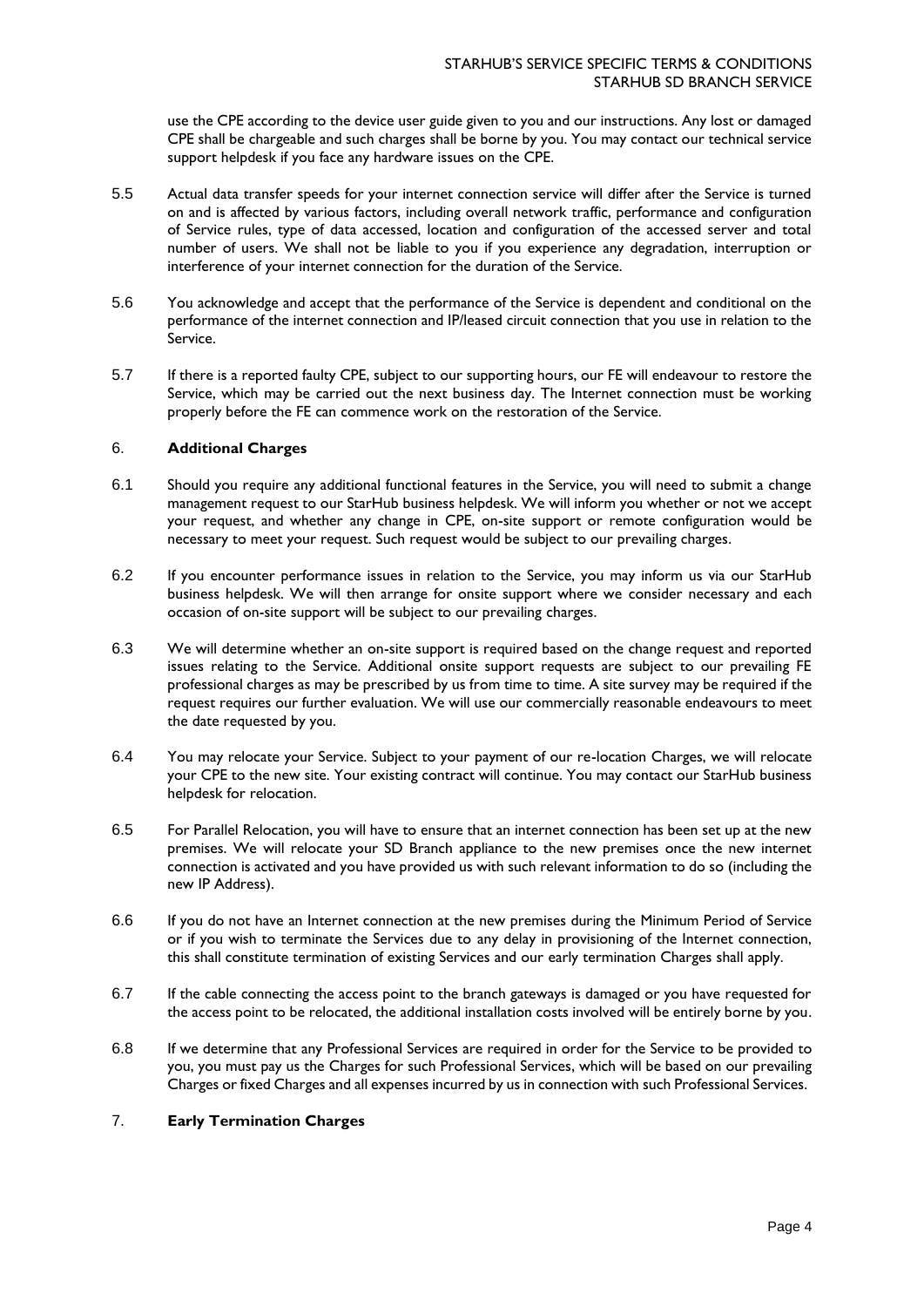use the CPE according to the device user guide given to you and our instructions. Any lost or damaged CPE shall be chargeable and such charges shall be borne by you. You may contact our technical service support helpdesk if you face any hardware issues on the CPE.

- 5.5 Actual data transfer speeds for your internet connection service will differ after the Service is turned on and is affected by various factors, including overall network traffic, performance and configuration of Service rules, type of data accessed, location and configuration of the accessed server and total number of users. We shall not be liable to you if you experience any degradation, interruption or interference of your internet connection for the duration of the Service.
- 5.6 You acknowledge and accept that the performance of the Service is dependent and conditional on the performance of the internet connection and IP/leased circuit connection that you use in relation to the Service.
- 5.7 If there is a reported faulty CPE, subject to our supporting hours, our FE will endeavour to restore the Service, which may be carried out the next business day. The Internet connection must be working properly before the FE can commence work on the restoration of the Service.

### 6. **Additional Charges**

- 6.1 Should you require any additional functional features in the Service, you will need to submit a change management request to our StarHub business helpdesk. We will inform you whether or not we accept your request, and whether any change in CPE, on-site support or remote configuration would be necessary to meet your request. Such request would be subject to our prevailing charges.
- 6.2 If you encounter performance issues in relation to the Service, you may inform us via our StarHub business helpdesk. We will then arrange for onsite support where we consider necessary and each occasion of on-site support will be subject to our prevailing charges.
- 6.3 We will determine whether an on-site support is required based on the change request and reported issues relating to the Service. Additional onsite support requests are subject to our prevailing FE professional charges as may be prescribed by us from time to time. A site survey may be required if the request requires our further evaluation. We will use our commercially reasonable endeavours to meet the date requested by you.
- 6.4 You may relocate your Service. Subject to your payment of our re-location Charges, we will relocate your CPE to the new site. Your existing contract will continue. You may contact our StarHub business helpdesk for relocation.
- 6.5 For Parallel Relocation, you will have to ensure that an internet connection has been set up at the new premises. We will relocate your SD Branch appliance to the new premises once the new internet connection is activated and you have provided us with such relevant information to do so (including the new IP Address).
- 6.6 If you do not have an Internet connection at the new premises during the Minimum Period of Service or if you wish to terminate the Services due to any delay in provisioning of the Internet connection, this shall constitute termination of existing Services and our early termination Charges shall apply.
- 6.7 If the cable connecting the access point to the branch gateways is damaged or you have requested for the access point to be relocated, the additional installation costs involved will be entirely borne by you.
- 6.8 If we determine that any Professional Services are required in order for the Service to be provided to you, you must pay us the Charges for such Professional Services, which will be based on our prevailing Charges or fixed Charges and all expenses incurred by us in connection with such Professional Services.

# 7. **Early Termination Charges**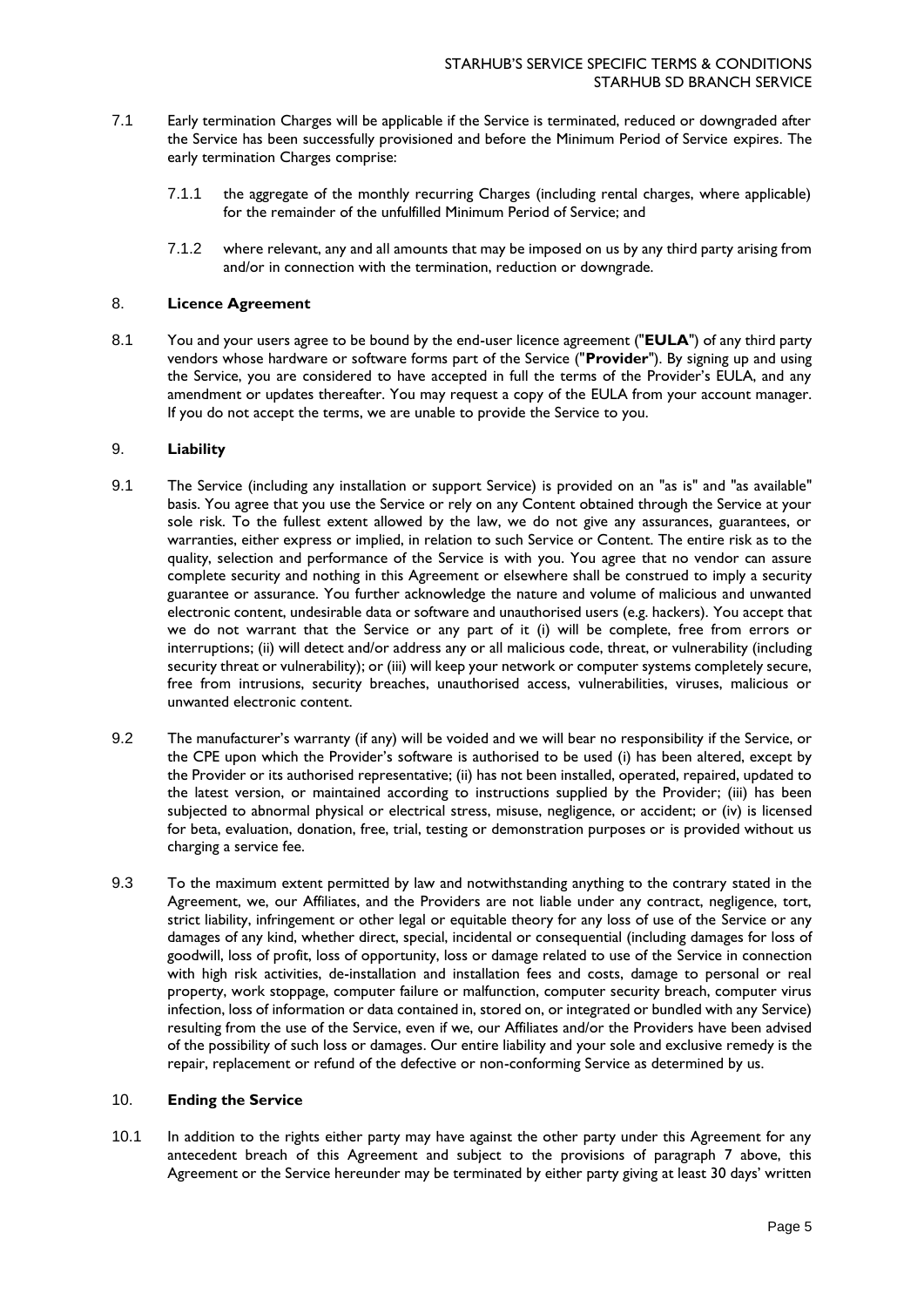- 7.1 Early termination Charges will be applicable if the Service is terminated, reduced or downgraded after the Service has been successfully provisioned and before the Minimum Period of Service expires. The early termination Charges comprise:
	- 7.1.1 the aggregate of the monthly recurring Charges (including rental charges, where applicable) for the remainder of the unfulfilled Minimum Period of Service; and
	- 7.1.2 where relevant, any and all amounts that may be imposed on us by any third party arising from and/or in connection with the termination, reduction or downgrade.

# 8. **Licence Agreement**

8.1 You and your users agree to be bound by the end-user licence agreement ("**EULA**") of any third party vendors whose hardware or software forms part of the Service ("**Provider**"). By signing up and using the Service, you are considered to have accepted in full the terms of the Provider's EULA, and any amendment or updates thereafter. You may request a copy of the EULA from your account manager. If you do not accept the terms, we are unable to provide the Service to you.

### 9. **Liability**

- 9.1 The Service (including any installation or support Service) is provided on an "as is" and "as available" basis. You agree that you use the Service or rely on any Content obtained through the Service at your sole risk. To the fullest extent allowed by the law, we do not give any assurances, guarantees, or warranties, either express or implied, in relation to such Service or Content. The entire risk as to the quality, selection and performance of the Service is with you. You agree that no vendor can assure complete security and nothing in this Agreement or elsewhere shall be construed to imply a security guarantee or assurance. You further acknowledge the nature and volume of malicious and unwanted electronic content, undesirable data or software and unauthorised users (e.g. hackers). You accept that we do not warrant that the Service or any part of it (i) will be complete, free from errors or interruptions; (ii) will detect and/or address any or all malicious code, threat, or vulnerability (including security threat or vulnerability); or (iii) will keep your network or computer systems completely secure, free from intrusions, security breaches, unauthorised access, vulnerabilities, viruses, malicious or unwanted electronic content.
- 9.2 The manufacturer's warranty (if any) will be voided and we will bear no responsibility if the Service, or the CPE upon which the Provider's software is authorised to be used (i) has been altered, except by the Provider or its authorised representative; (ii) has not been installed, operated, repaired, updated to the latest version, or maintained according to instructions supplied by the Provider; (iii) has been subjected to abnormal physical or electrical stress, misuse, negligence, or accident; or (iv) is licensed for beta, evaluation, donation, free, trial, testing or demonstration purposes or is provided without us charging a service fee.
- 9.3 To the maximum extent permitted by law and notwithstanding anything to the contrary stated in the Agreement, we, our Affiliates, and the Providers are not liable under any contract, negligence, tort, strict liability, infringement or other legal or equitable theory for any loss of use of the Service or any damages of any kind, whether direct, special, incidental or consequential (including damages for loss of goodwill, loss of profit, loss of opportunity, loss or damage related to use of the Service in connection with high risk activities, de-installation and installation fees and costs, damage to personal or real property, work stoppage, computer failure or malfunction, computer security breach, computer virus infection, loss of information or data contained in, stored on, or integrated or bundled with any Service) resulting from the use of the Service, even if we, our Affiliates and/or the Providers have been advised of the possibility of such loss or damages. Our entire liability and your sole and exclusive remedy is the repair, replacement or refund of the defective or non-conforming Service as determined by us.

# 10. **Ending the Service**

10.1 In addition to the rights either party may have against the other party under this Agreement for any antecedent breach of this Agreement and subject to the provisions of paragraph 7 above, this Agreement or the Service hereunder may be terminated by either party giving at least 30 days' written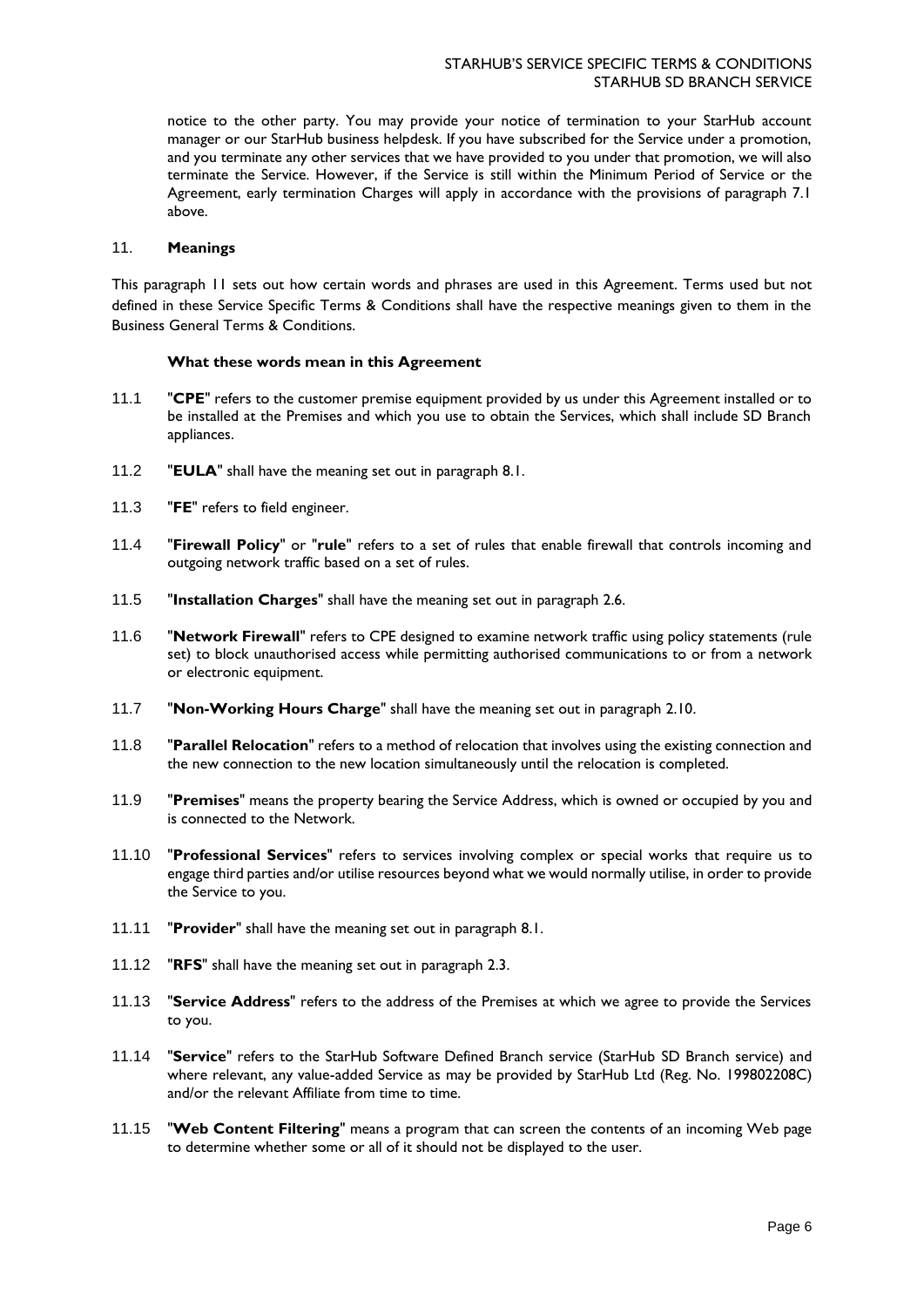notice to the other party. You may provide your notice of termination to your StarHub account manager or our StarHub business helpdesk. If you have subscribed for the Service under a promotion, and you terminate any other services that we have provided to you under that promotion, we will also terminate the Service. However, if the Service is still within the Minimum Period of Service or the Agreement, early termination Charges will apply in accordance with the provisions of paragraph 7.1 above.

# 11. **Meanings**

This paragraph 11 sets out how certain words and phrases are used in this Agreement. Terms used but not defined in these Service Specific Terms & Conditions shall have the respective meanings given to them in the Business General Terms & Conditions.

### **What these words mean in this Agreement**

- 11.1 "**CPE**" refers to the customer premise equipment provided by us under this Agreement installed or to be installed at the Premises and which you use to obtain the Services, which shall include SD Branch appliances.
- 11.2 "**EULA**" shall have the meaning set out in paragraph 8.1.
- 11.3 "**FE**" refers to field engineer.
- 11.4 "**Firewall Policy**" or "**rule**" refers to a set of rules that enable firewall that controls incoming and outgoing network traffic based on a set of rules.
- 11.5 "**Installation Charges**" shall have the meaning set out in paragraph 2.6.
- 11.6 "**Network Firewall**" refers to CPE designed to examine network traffic using policy statements (rule set) to block unauthorised access while permitting authorised communications to or from a network or electronic equipment.
- 11.7 "**Non-Working Hours Charge**" shall have the meaning set out in paragraph 2.10.
- 11.8 "**Parallel Relocation**" refers to a method of relocation that involves using the existing connection and the new connection to the new location simultaneously until the relocation is completed.
- 11.9 "**Premises**" means the property bearing the Service Address, which is owned or occupied by you and is connected to the Network.
- 11.10 "**Professional Services**" refers to services involving complex or special works that require us to engage third parties and/or utilise resources beyond what we would normally utilise, in order to provide the Service to you.
- 11.11 "**Provider**" shall have the meaning set out in paragraph 8.1.
- 11.12 "**RFS**" shall have the meaning set out in paragraph 2.3.
- 11.13 "**Service Address**" refers to the address of the Premises at which we agree to provide the Services to you.
- 11.14 "**Service**" refers to the StarHub Software Defined Branch service (StarHub SD Branch service) and where relevant, any value-added Service as may be provided by StarHub Ltd (Reg. No. 199802208C) and/or the relevant Affiliate from time to time.
- 11.15 "**Web Content Filtering**" means a program that can screen the contents of an incoming Web page to determine whether some or all of it should not be displayed to the user.